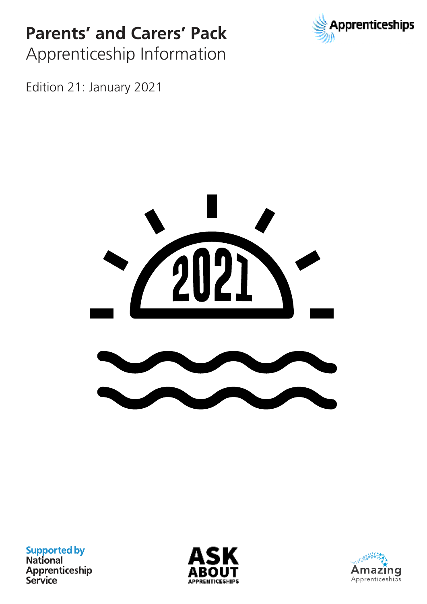## **Parents' and Carers' Pack** Apprenticeship Information



Edition 21: January 2021



**Supported by**<br>National Apprenticeship Service



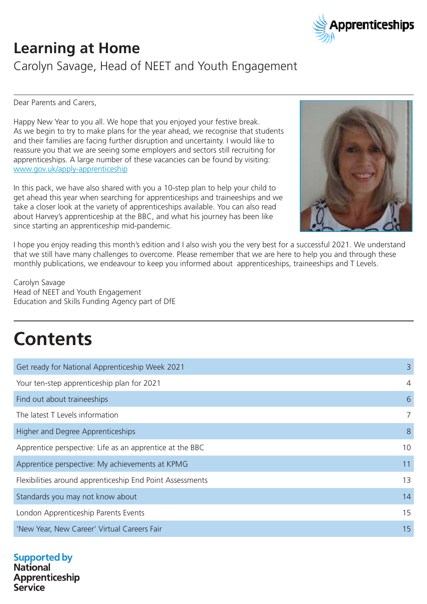

## **Learning at Home**

Carolyn Savage, Head of NEET and Youth Engagement

Dear Parents and Carers,

Happy New Year to you all. We hope that you enjoyed your festive break. As we begin to try to make plans for the year ahead, we recognise that students and their families are facing further disruption and uncertainty. I would like to reassure you that we are seeing some employers and sectors still recruiting for apprenticeships. A large number of these vacancies can be found by visiting: www.gov.uk/apply-apprenticeship

In this pack, we have also shared with you a 10-step plan to help your child to get ahead this year when searching for apprenticeships and traineeships and we take a closer look at the variety of apprenticeships available. You can also read about Harvey's apprenticeship at the BBC, and what his journey has been like since starting an apprenticeship mid-pandemic.



I hope you enjoy reading this month's edition and I also wish you the very best for a successful 2021. We understand that we still have many challenges to overcome. Please remember that we are here to help you and through these monthly publications, we endeavour to keep you informed about apprenticeships, traineeships and T Levels.

Carolyn Savage Head of NEET and Youth Engagement Education and Skills Funding Agency part of DfE

# **Contents**

| Get ready for National Apprenticeship Week 2021           | 3              |
|-----------------------------------------------------------|----------------|
| Your ten-step apprenticeship plan for 2021                | $\overline{4}$ |
| Find out about traineeships                               | 6              |
| The latest T Levels information                           | $\overline{7}$ |
| Higher and Degree Apprenticeships                         | 8              |
| Apprentice perspective: Life as an apprentice at the BBC  | 10             |
| Apprentice perspective: My achievements at KPMG           | 11             |
| Flexibilities around apprenticeship End Point Assessments | 13             |
| Standards you may not know about                          | 14             |
| London Apprenticeship Parents Events                      | 15             |
| 'New Year, New Career' Virtual Careers Fair               | 15             |
|                                                           |                |

### **Supported by**

**National** Apprenticeship Service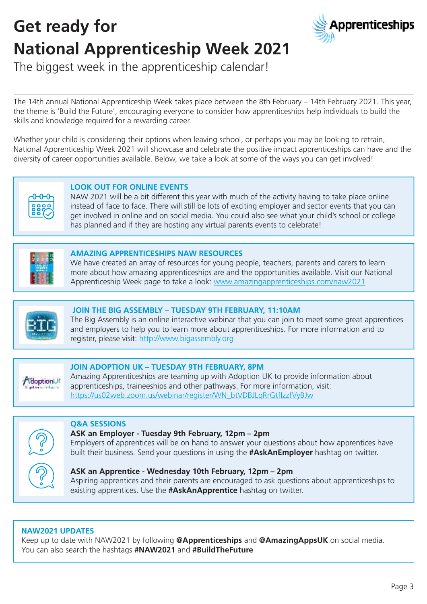# **Get ready for National Apprenticeship Week 2021**



The biggest week in the apprenticeship calendar!

The 14th annual National Apprenticeship Week takes place between the 8th February – 14th February 2021. This year, the theme is 'Build the Future', encouraging everyone to consider how apprenticeships help individuals to build the skills and knowledge required for a rewarding career.

Whether your child is considering their options when leaving school, or perhaps you may be looking to retrain, National Apprenticeship Week 2021 will showcase and celebrate the positive impact apprenticeships can have and the diversity of career opportunities available. Below, we take a look at some of the ways you can get involved!



### **LOOK OUT FOR ONLINE EVENTS**

NAW 2021 will be a bit different this year with much of the activity having to take place online instead of face to face. There will still be lots of exciting employer and sector events that you can get involved in online and on social media. You could also see what your child's school or college has planned and if they are hosting any virtual parents events to celebrate!



#### **AMAZING APPRENTICESHIPS NAW RESOURCES**

We have created an array of resources for young people, teachers, parents and carers to learn more about how amazing apprenticeships are and the opportunities available. Visit our National Apprenticeship Week page to take a look: www.amazingapprenticeships.com/naw2021



### **JOIN THE BIG ASSEMBLY – TUESDAY 9TH FEBRUARY, 11:10AM**

The Big Assembly is an online interactive webinar that you can join to meet some great apprentices and employers to help you to learn more about apprenticeships. For more information and to register, please visit: http://www.bigassembly.org



#### **JOIN ADOPTION UK – TUESDAY 9TH FEBRUARY, 8PM**

Amazing Apprenticeships are teaming up with Adoption UK to provide information about apprenticeships, traineeships and other pathways. For more information, visit: https://us02web.zoom.us/webinar/register/WN\_btVDBJLqRrGtfIzzfVyBJw



#### **Q&A SESSIONS ASK an Employer - Tuesday 9th February, 12pm – 2pm**

Employers of apprentices will be on hand to answer your questions about how apprentices have built their business. Send your questions in using the **#AskAnEmployer** hashtag on twitter.

#### **ASK an Apprentice - Wednesday 10th February, 12pm – 2pm**

Aspiring apprentices and their parents are encouraged to ask questions about apprenticeships to existing apprentices. Use the **#AskAnApprentice** hashtag on twitter.

### **NAW2021 UPDATES**

Keep up to date with NAW2021 by following **@Apprenticeships** and **@AmazingAppsUK** on social media. You can also search the hashtags **#NAW2021** and **#BuildTheFuture**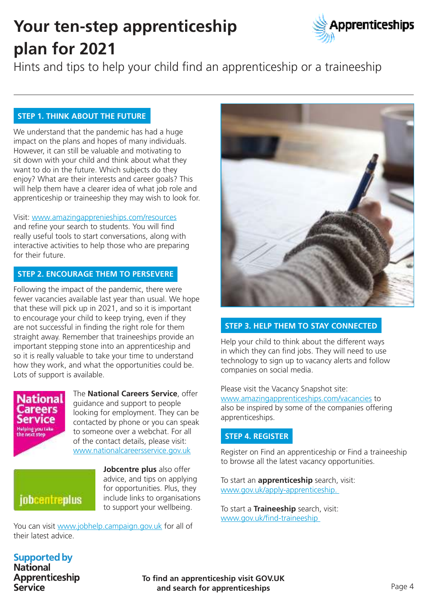## **Your ten-step apprenticeship plan for 2021**



Hints and tips to help your child find an apprenticeship or a traineeship

### **STEP 1. THINK ABOUT THE FUTURE**

We understand that the pandemic has had a huge impact on the plans and hopes of many individuals. However, it can still be valuable and motivating to sit down with your child and think about what they want to do in the future. Which subjects do they enjoy? What are their interests and career goals? This will help them have a clearer idea of what job role and apprenticeship or traineeship they may wish to look for.

Visit: www.amazingapprenieships.com/resources and refine your search to students. You will find really useful tools to start conversations, along with interactive activities to help those who are preparing for their future.

### **STEP 2. ENCOURAGE THEM TO PERSEVERE**

Following the impact of the pandemic, there were fewer vacancies available last year than usual. We hope that these will pick up in 2021, and so it is important to encourage your child to keep trying, even if they are not successful in finding the right role for them straight away. Remember that traineeships provide an important stepping stone into an apprenticeship and so it is really valuable to take your time to understand how they work, and what the opportunities could be. Lots of support is available.



The **National Careers Service**, offer guidance and support to people looking for employment. They can be contacted by phone or you can speak to someone over a webchat. For all of the contact details, please visit: www.nationalcareersservice.gov.uk

jobcentreplus

**Jobcentre plus** also offer advice, and tips on applying for opportunities. Plus, they include links to organisations to support your wellbeing.

You can visit www.jobhelp.campaign.gov.uk for all of their latest advice.



### **STEP 3. HELP THEM TO STAY CONNECTED**

Help your child to think about the different ways in which they can find jobs. They will need to use technology to sign up to vacancy alerts and follow companies on social media.

Please visit the Vacancy Snapshot site: www.amazingapprenticeships.com/vacancies to also be inspired by some of the companies offering apprenticeships.

### **STEP 4. REGISTER**

Register on Find an apprenticeship or Find a traineeship to browse all the latest vacancy opportunities.

To start an **apprenticeship** search, visit: www.gov.uk/apply-apprenticeship.

To start a **Traineeship** search, visit: www.gov.uk/find-traineeship

#### **Supported by National**

Apprenticeship Service

**To find an apprenticeship visit GOV.UK and search for apprenticeships**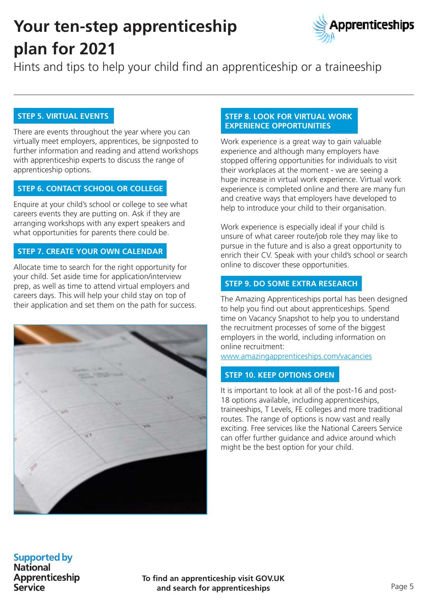## **Your ten-step apprenticeship plan for 2021**



Hints and tips to help your child find an apprenticeship or a traineeship

### **STEP 5. VIRTUAL EVENTS**

There are events throughout the year where you can virtually meet employers, apprentices, be signposted to further information and reading and attend workshops with apprenticeship experts to discuss the range of apprenticeship options.

### **STEP 6. CONTACT SCHOOL OR COLLEGE**

Enquire at your child's school or college to see what careers events they are putting on. Ask if they are arranging workshops with any expert speakers and what opportunities for parents there could be.

### **STEP 7. CREATE YOUR OWN CALENDAR**

Allocate time to search for the right opportunity for your child. Set aside time for application/interview prep, as well as time to attend virtual employers and careers days. This will help your child stay on top of their application and set them on the path for success.



### **STEP 8. LOOK FOR VIRTUAL WORK EXPERIENCE OPPORTUNITIES**

Work experience is a great way to gain valuable experience and although many employers have stopped offering opportunities for individuals to visit their workplaces at the moment - we are seeing a huge increase in virtual work experience. Virtual work experience is completed online and there are many fun and creative ways that employers have developed to help to introduce your child to their organisation.

Work experience is especially ideal if your child is unsure of what career route/job role they may like to pursue in the future and is also a great opportunity to enrich their CV. Speak with your child's school or search online to discover these opportunities.

### **STEP 9. DO SOME EXTRA RESEARCH**

The Amazing Apprenticeships portal has been designed to help you find out about apprenticeships. Spend time on Vacancy Snapshot to help you to understand the recruitment processes of some of the biggest employers in the world, including information on online recruitment:

www.amazingapprenticeships.com/vacancies

### **STEP 10. KEEP OPTIONS OPEN**

It is important to look at all of the post-16 and post-18 options available, including apprenticeships, traineeships, T Levels, FE colleges and more traditional routes. The range of options is now vast and really exciting. Free services like the National Careers Service can offer further guidance and advice around which might be the best option for your child.

### **Supported by**

**National** Apprenticeship Service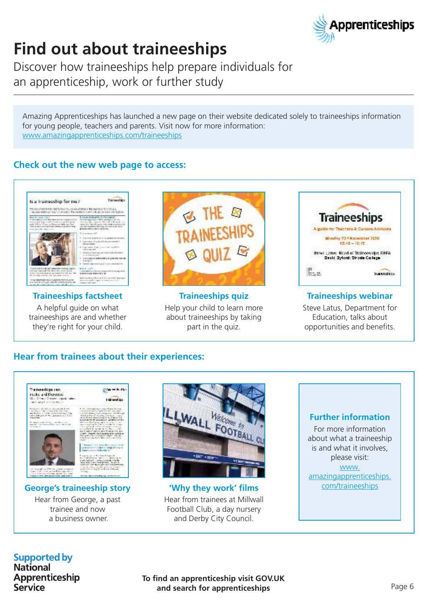

## **Find out about traineeships**

Discover how traineeships help prepare individuals for an apprenticeship, work or further study

Amazing Apprenticeships has launched a new page on their website dedicated solely to traineeships information for young people, teachers and parents. Visit now for more information: www.amazingapprenticeships.com/traineeships

### **Check out the new web page to access:**



### **Traineeships factsheet**

A helpful guide on what traineeships are and whether they're right for your child.



**Traineeships quiz** Help your child to learn more about traineeships by taking part in the quiz.

| <b>Traineeships</b>                                                    |  |
|------------------------------------------------------------------------|--|
|                                                                        |  |
| Monday 2<br>November 3090<br>12:45 - 12:45                             |  |
| Stove Latter Head of Traincoships ESFA<br>Devid Dylord: Strode Callege |  |

### **Traineeships webinar**

Steve Latus, Department for Education, talks about opportunities and benefits.

### **Hear from trainees about their experiences:**



### **George's traineeship story**

Hear from George, a past trainee and now a business owner.



**'Why they work' films** Hear from trainees at Millwall Football Club, a day nursery and Derby City Council.

### **Further information**

For more information about what a traineeship is and what it involves, please visit: www. amazingapprenticeships. com/traineeships

### **Supported by**

**National** Apprenticeship Service

**To find an apprenticeship visit GOV.UK and search for apprenticeships**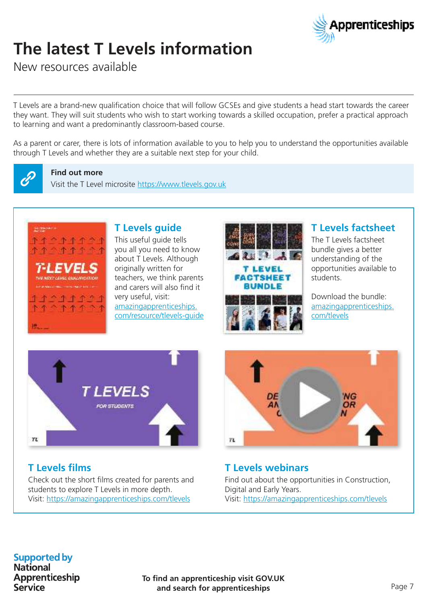

## **The latest T Levels information**

New resources available

T Levels are a brand-new qualification choice that will follow GCSEs and give students a head start towards the career they want. They will suit students who wish to start working towards a skilled occupation, prefer a practical approach to learning and want a predominantly classroom-based course.

As a parent or carer, there is lots of information available to you to help you to understand the opportunities available through T Levels and whether they are a suitable next step for your child.



#### **Find out more**

Visit the T Level microsite https://www.tlevels.gov.uk



### **T Levels guide**

This useful quide tells you all you need to know about T Levels. Although originally written for teachers, we think parents and carers will also find it very useful, visit: amazingapprenticeships. com/resource/tlevels-guide



### **T Levels factsheet**

The T Levels factsheet bundle gives a better understanding of the opportunities available to students.

Download the bundle: amazingapprenticeships. com/tlevels



### **T Levels films**

Check out the short films created for parents and students to explore T Levels in more depth. Visit: https://amazingapprenticeships.com/tlevels



### **T Levels webinars**

Find out about the opportunities in Construction, Digital and Early Years. Visit: https://amazingapprenticeships.com/tlevels

### **Supported by**

**National** Apprenticeship **Service**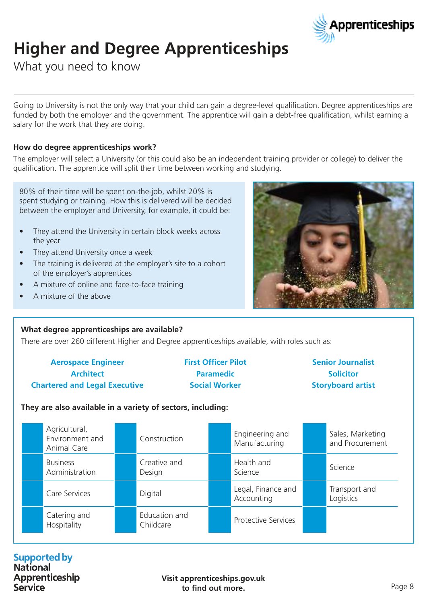

## **Higher and Degree Apprenticeships**

What you need to know

Going to University is not the only way that your child can gain a degree-level qualification. Degree apprenticeships are funded by both the employer and the government. The apprentice will gain a debt-free qualification, whilst earning a salary for the work that they are doing.

### **How do degree apprenticeships work?**

The employer will select a University (or this could also be an independent training provider or college) to deliver the qualification. The apprentice will split their time between working and studying.

80% of their time will be spent on-the-job, whilst 20% is spent studying or training. How this is delivered will be decided between the employer and University, for example, it could be:

- They attend the University in certain block weeks across the year
- They attend University once a week
- The training is delivered at the employer's site to a cohort of the employer's apprentices
- A mixture of online and face-to-face training
- A mixture of the above



#### **What degree apprenticeships are available?**

There are over 260 different Higher and Degree apprenticeships available, with roles such as:

| <b>Aerospace Engineer</b>            | <b>First Officer Pilot</b> | <b>Senior Journalist</b> |
|--------------------------------------|----------------------------|--------------------------|
| <b>Architect</b>                     | <b>Paramedic</b>           | <b>Solicitor</b>         |
| <b>Chartered and Legal Executive</b> | <b>Social Worker</b>       | <b>Storyboard artist</b> |

#### **They are also available in a variety of sectors, including:**

| Agricultural,<br>Environment and<br>Animal Care | Construction               | Engineering and<br>Manufacturing | Sales, Marketing<br>and Procurement |
|-------------------------------------------------|----------------------------|----------------------------------|-------------------------------------|
| <b>Business</b><br>Administration               | Creative and<br>Design     | Health and<br>Science            | Science                             |
| Care Services                                   | Digital                    | Legal, Finance and<br>Accounting | Transport and<br>Logistics          |
| Catering and<br>Hospitality                     | Education and<br>Childcare | <b>Protective Services</b>       |                                     |

### **Supported by**

**National** Apprenticeship Service

**Visit apprenticeships.gov.uk to find out more.**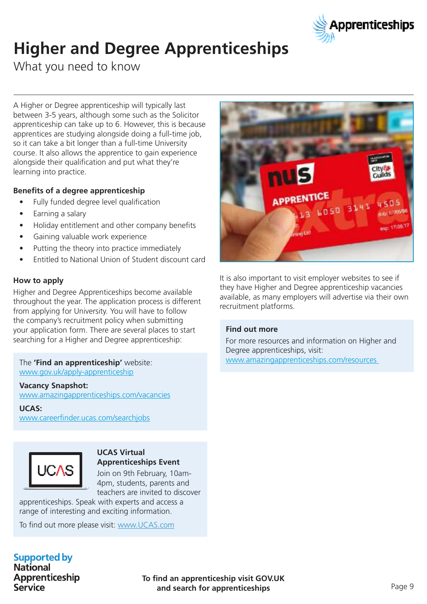

## **Higher and Degree Apprenticeships**

What you need to know

A Higher or Degree apprenticeship will typically last between 3-5 years, although some such as the Solicitor apprenticeship can take up to 6. However, this is because apprentices are studying alongside doing a full-time job, so it can take a bit longer than a full-time University course. It also allows the apprentice to gain experience alongside their qualification and put what they're learning into practice.

### **Benefits of a degree apprenticeship**

- Fully funded degree level qualification
- Earning a salary
- Holiday entitlement and other company benefits
- Gaining valuable work experience
- Putting the theory into practice immediately
- Entitled to National Union of Student discount card

### **How to apply**

Higher and Degree Apprenticeships become available throughout the year. The application process is different from applying for University. You will have to follow the company's recruitment policy when submitting your application form. There are several places to start searching for a Higher and Degree apprenticeship:

#### The **'Find an apprenticeship'** website: www.gov.uk/apply-apprenticeship

#### **Vacancy Snapshot:**

www.amazingapprenticeships.com/vacancies

#### **UCAS:**

www.careerfinder.ucas.com/searchjobs



#### **UCAS Virtual Apprenticeships Event**

Join on 9th February, 10am-4pm, students, parents and teachers are invited to discover

apprenticeships. Speak with experts and access a range of interesting and exciting information.

To find out more please visit: www.UCAS.com



It is also important to visit employer websites to see if they have Higher and Degree apprenticeship vacancies available, as many employers will advertise via their own recruitment platforms.

#### **Find out more**

For more resources and information on Higher and Degree apprenticeships, visit: www.amazingapprenticeships.com/resources

#### **Supported by National**

Apprenticeship Service

**To find an apprenticeship visit GOV.UK and search for apprenticeships**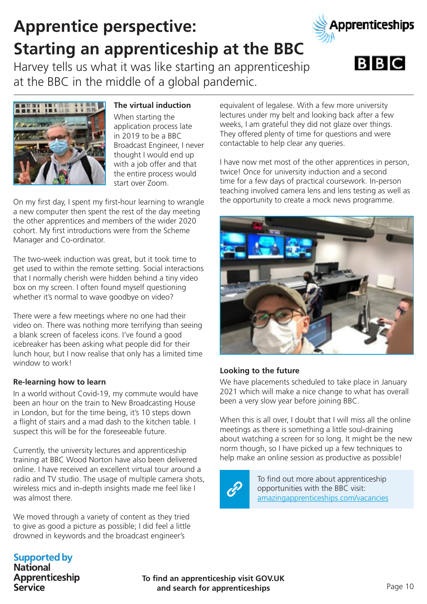## Manager and Co-ordinator. The two-week induction was great, but it took time to

get used to within the remote setting. Social interactions that I normally cherish were hidden behind a tiny video box on my screen. I often found myself questioning whether it's normal to wave goodbye on video?

There were a few meetings where no one had their video on. There was nothing more terrifying than seeing a blank screen of faceless icons. I've found a good icebreaker has been asking what people did for their lunch hour, but I now realise that only has a limited time window to work!

### **Re-learning how to learn**

In a world without Covid-19, my commute would have been an hour on the train to New Broadcasting House in London, but for the time being, it's 10 steps down a flight of stairs and a mad dash to the kitchen table. I suspect this will be for the foreseeable future.

Currently, the university lectures and apprenticeship training at BBC Wood Norton have also been delivered online. I have received an excellent virtual tour around a radio and TV studio. The usage of multiple camera shots, wireless mics and in-depth insights made me feel like I was almost there.

We moved through a variety of content as they tried to give as good a picture as possible; I did feel a little drowned in keywords and the broadcast engineer's

#### equivalent of legalese. With a few more university lectures under my belt and looking back after a few weeks, I am grateful they did not glaze over things. They offered plenty of time for questions and were contactable to help clear any queries.

I have now met most of the other apprentices in person, twice! Once for university induction and a second time for a few days of practical coursework. In-person teaching involved camera lens and lens testing as well as the opportunity to create a mock news programme.

### **Looking to the future**

We have placements scheduled to take place in January 2021 which will make a nice change to what has overall been a very slow year before joining BBC.

When this is all over, I doubt that I will miss all the online meetings as there is something a little soul-draining about watching a screen for so long. It might be the new norm though, so I have picked up a few techniques to help make an online session as productive as possible!

> To find out more about apprenticeship opportunities with the BBC visit: amazingapprenticeships.com/vacancies

**To find an apprenticeship visit GOV.UK and search for apprenticeships**

**National** Apprenticeship Service

## **Apprentice perspective: Starting an apprenticeship at the BBC**

Harvey tells us what it was like starting an apprenticeship at the BBC in the middle of a global pandemic.

**The virtual induction**

Broadcast Engineer, I never

When starting the application process late in 2019 to be a BBC

thought I would end up with a job offer and that the entire process would start over Zoom. On my first day, I spent my first-hour learning to wrangle a new computer then spent the rest of the day meeting the other apprentices and members of the wider 2020 cohort. My first introductions were from the Scheme









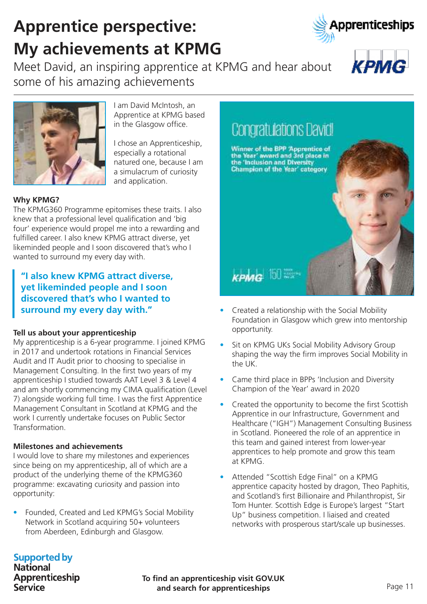**To find an apprenticeship visit GOV.UK and search for apprenticeships**

### **Supported by**

**National** Apprenticeship Service

## **Apprentice perspective: My achievements at KPMG**

Meet David, an inspiring apprentice at KPMG and hear about some of his amazing achievements

> Apprentice at KPMG based in the Glasgow office.

I am David McIntosh, an

I chose an Apprenticeship, especially a rotational natured one, because I am a simulacrum of curiosity and application.

### **Why KPMG?**

The KPMG360 Programme epitomises these traits. I also knew that a professional level qualification and 'big four' experience would propel me into a rewarding and fulfilled career. I also knew KPMG attract diverse, yet likeminded people and I soon discovered that's who I wanted to surround my every day with.

**"I also knew KPMG attract diverse, yet likeminded people and I soon discovered that's who I wanted to surround my every day with."**

### **Tell us about your apprenticeship**

My apprenticeship is a 6-year programme. I joined KPMG in 2017 and undertook rotations in Financial Services Audit and IT Audit prior to choosing to specialise in Management Consulting. In the first two years of my apprenticeship I studied towards AAT Level 3 & Level 4 and am shortly commencing my CIMA qualification (Level 7) alongside working full time. I was the first Apprentice Management Consultant in Scotland at KPMG and the work I currently undertake focuses on Public Sector Transformation.

### **Milestones and achievements**

I would love to share my milestones and experiences since being on my apprenticeship, all of which are a product of the underlying theme of the KPMG360 programme: excavating curiosity and passion into opportunity:

• Founded, Created and Led KPMG's Social Mobility Network in Scotland acquiring 50+ volunteers from Aberdeen, Edinburgh and Glasgow.

## **Congratulations David!**

Winner of the BPP 'Appromtice of<br>the Year' award and 3rd place in<br>the 'Inclusion and Diversity Champion of the Year' category

### **KPMG** 100

- Created a relationship with the Social Mobility Foundation in Glasgow which grew into mentorship opportunity.
- Sit on KPMG UKs Social Mobility Advisory Group shaping the way the firm improves Social Mobility in the UK.
- Came third place in BPPs 'Inclusion and Diversity Champion of the Year' award in 2020
- Created the opportunity to become the first Scottish Apprentice in our Infrastructure, Government and Healthcare ("IGH") Management Consulting Business in Scotland. Pioneered the role of an apprentice in this team and gained interest from lower-year apprentices to help promote and grow this team at KPMG.
- Attended "Scottish Edge Final" on a KPMG apprentice capacity hosted by dragon, Theo Paphitis, and Scotland's first Billionaire and Philanthropist, Sir Tom Hunter. Scottish Edge is Europe's largest "Start Up" business competition. I liaised and created networks with prosperous start/scale up businesses.





**КРМС** 

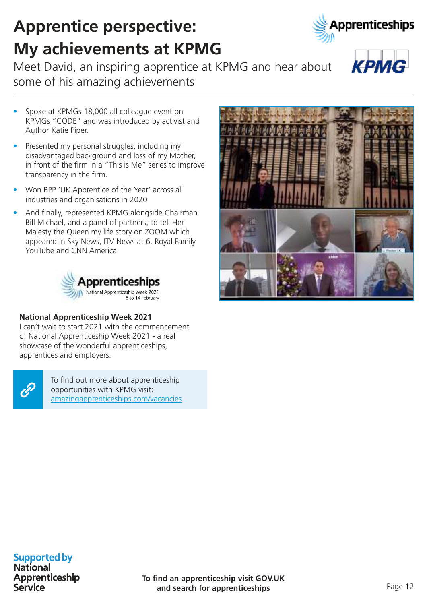**To find an apprenticeship visit GOV.UK and search for apprenticeships**

### **Supported by**

**National** Apprenticeship Service

## **Apprentice perspective: My achievements at KPMG**

Meet David, an inspiring apprentice at KPMG and hear about some of his amazing achievements

- Spoke at KPMGs 18,000 all colleague event on KPMGs "CODE" and was introduced by activist and Author Katie Piper.
- Presented my personal struggles, including my disadvantaged background and loss of my Mother, in front of the firm in a "This is Me" series to improve transparency in the firm.
- Won BPP 'UK Apprentice of the Year' across all industries and organisations in 2020
- And finally, represented KPMG alongside Chairman Bill Michael, and a panel of partners, to tell Her Majesty the Queen my life story on ZOOM which appeared in Sky News, ITV News at 6, Royal Family YouTube and CNN America.



### **National Apprenticeship Week 2021**

I can't wait to start 2021 with the commencement of National Apprenticeship Week 2021 - a real showcase of the wonderful apprenticeships, apprentices and employers.



To find out more about apprenticeship opportunities with KPMG visit: amazingapprenticeships.com/vacancies





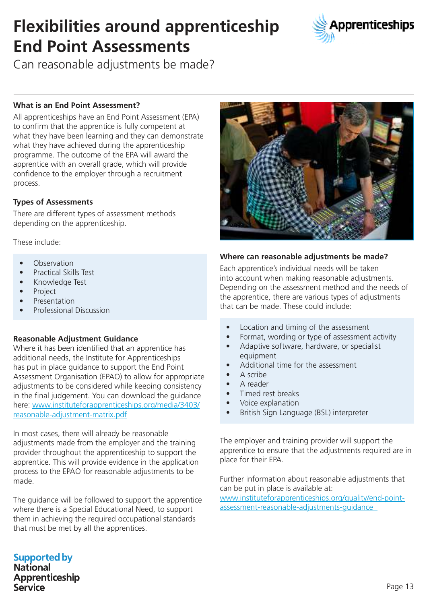## **Flexibilities around apprenticeship End Point Assessments**



Can reasonable adjustments be made?

### **What is an End Point Assessment?**

All apprenticeships have an End Point Assessment (EPA) to confirm that the apprentice is fully competent at what they have been learning and they can demonstrate what they have achieved during the apprenticeship programme. The outcome of the EPA will award the apprentice with an overall grade, which will provide confidence to the employer through a recruitment process.

### **Types of Assessments**

There are different types of assessment methods depending on the apprenticeship.

These include:

- **Observation**
- Practical Skills Test
- Knowledge Test
- Project
- Presentation
- Professional Discussion

### **Reasonable Adjustment Guidance**

Where it has been identified that an apprentice has additional needs, the Institute for Apprenticeships has put in place guidance to support the End Point Assessment Organisation (EPAO) to allow for appropriate adjustments to be considered while keeping consistency in the final judgement. You can download the guidance here: www.instituteforapprenticeships.org/media/3403/ reasonable-adjustment-matrix.pdf

In most cases, there will already be reasonable adjustments made from the employer and the training provider throughout the apprenticeship to support the apprentice. This will provide evidence in the application process to the EPAO for reasonable adjustments to be made.

The guidance will be followed to support the apprentice where there is a Special Educational Need, to support them in achieving the required occupational standards that must be met by all the apprentices.



#### **Where can reasonable adjustments be made?**

Each apprentice's individual needs will be taken into account when making reasonable adjustments. Depending on the assessment method and the needs of the apprentice, there are various types of adjustments that can be made. These could include:

- Location and timing of the assessment
- Format, wording or type of assessment activity
- Adaptive software, hardware, or specialist equipment
- Additional time for the assessment
- A scribe
- Areader
- Timed rest breaks
- Voice explanation
- British Sign Language (BSL) interpreter

The employer and training provider will support the apprentice to ensure that the adjustments required are in place for their EPA.

Further information about reasonable adjustments that can be put in place is available at:

www.instituteforapprenticeships.org/quality/end-pointassessment-reasonable-adjustments-guidance

## **Supported by National**

Apprenticeship Service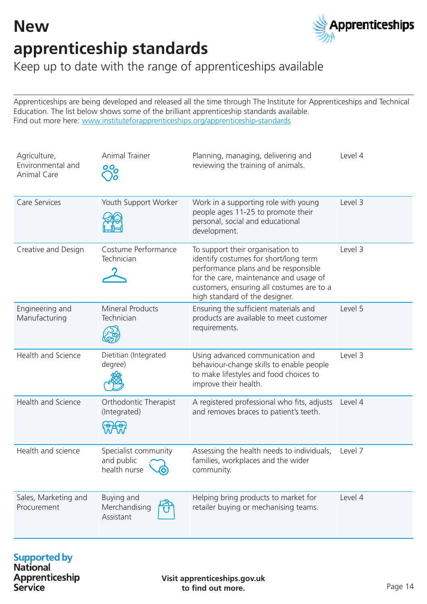## **New apprenticeship standards**



Keep up to date with the range of apprenticeships available

Apprenticeships are being developed and released all the time through The Institute for Apprenticeships and Technical Education. The list below shows some of the brilliant apprenticeship standards available. Find out more here: www.instituteforapprenticeships.org/apprenticeship-standards

| Agriculture,<br>Environmental and<br><b>Animal Care</b> | <b>Animal Trainer</b><br><u>୦</u> ୦                              | Planning, managing, delivering and<br>reviewing the training of animals.                                                                                                                                                                   | Level 4 |
|---------------------------------------------------------|------------------------------------------------------------------|--------------------------------------------------------------------------------------------------------------------------------------------------------------------------------------------------------------------------------------------|---------|
| Care Services                                           | Youth Support Worker                                             | Work in a supporting role with young<br>people ages 11-25 to promote their<br>personal, social and educational<br>development.                                                                                                             | Level 3 |
| Creative and Design                                     | Costume Performance<br>Technician                                | To support their organisation to<br>identify costumes for short/long term<br>performance plans and be responsible<br>for the care, maintenance and usage of<br>customers, ensuring all costumes are to a<br>high standard of the designer. | Level 3 |
| Engineering and<br>Manufacturing                        | <b>Mineral Products</b><br>Technician                            | Ensuring the sufficient materials and<br>products are available to meet customer<br>requirements.                                                                                                                                          | Level 5 |
| Health and Science                                      | Dietitian (Integrated<br>degree)                                 | Using advanced communication and<br>behaviour-change skills to enable people<br>to make lifestyles and food choices to<br>improve their health.                                                                                            | Level 3 |
| Health and Science                                      | Orthodontic Therapist<br>(Integrated)                            | A registered professional who fits, adjusts<br>and removes braces to patient's teeth.                                                                                                                                                      | Level 4 |
| Health and science                                      | Specialist community<br>and public<br>health nurse<br>$\bigcirc$ | Assessing the health needs to individuals,<br>families, workplaces and the wider<br>community.                                                                                                                                             | Level 7 |
| Sales, Marketing and<br>Procurement                     | Buying and<br>Merchandising<br>Assistant                         | Helping bring products to market for<br>retailer buying or mechanising teams.                                                                                                                                                              | Level 4 |

# **Supported by**<br>National

Apprenticeship **Service** 

**Visit apprenticeships.gov.uk to find out more.**